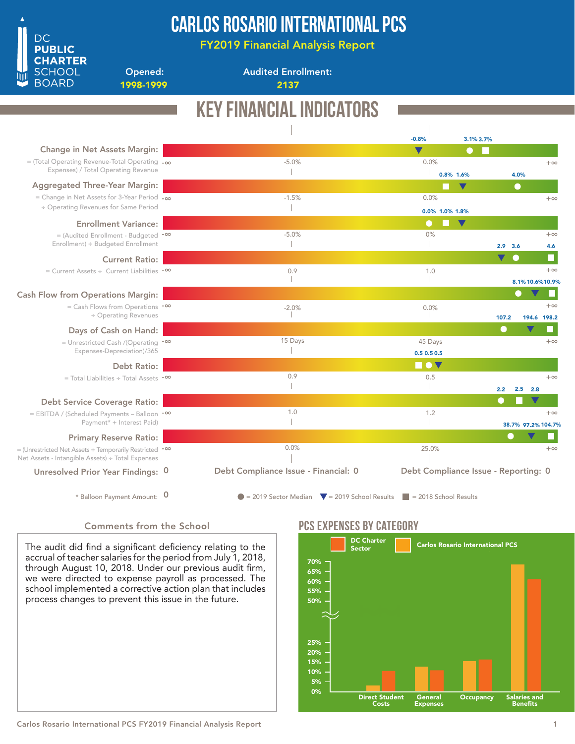

# Carlos Rosario International PCS

FY2019 Financial Analysis Report

Opened: 1998-1999 2137

Audited Enrollment:

### Key Financial Indicators 3.1% -0.8% 3.7% Change in Net Assets Margin:  $\blacksquare$ -5.0% 0.0% = (Total Operating Revenue-Total Operating -∞  $+\infty$ Expenses) / Total Operating Revenue  $\overline{\phantom{a}}$  $\mathbb{L}$ 0.8% 1.6% 4.0% Aggregated Three-Year Margin: -1.5% 0.0% = Change in Net Assets for 3-Year Period -∞  $+\infty$ ÷ Operating Revenues for Same Period  $\mathbb T$ 0.0% 1.0% 1.8%Enrollment Variance: 0% = (Audited Enrollment - Budgeted <sup>-∞</sup> -5.0%  $+\infty$ Enrollment) ÷ Budgeted Enrollment  $\mathbb{R}$  $\overline{\phantom{a}}$ 3.6 2.9 4.6 Current Ratio: = Current Assets ÷ Current Liabilities -∞ 0.9 1.0 +∞ Т -1 8.1% 10.6%10.9% Cash Flow from Operations Margin: = Cash Flows from Operations -∞  $+\infty$  $-2.0\%$  $0.0\%$ ÷ Operating Revenues 107.2 194.6 198.2 ш Days of Cash on Hand: 15 Days 45 Days  $+\infty$ = Unrestricted Cash /(Operating <sup>-∞</sup> Expenses-Depreciation)/365  $\overline{\phantom{a}}$ 0.5 0.5 0.5 Debt Ratio: **nov** 0.9 0.5 +∞ = Total Liabilities ÷ Total Assets -∞  $\mathcal I$  $\|$ 2.2 2.5 2.8 Debt Service Coverage Ratio: 1.0 1.2 = EBITDA / (Scheduled Payments – Balloon <sup>-∞</sup>  $+\infty$ Payment<sup>\*</sup> + Interest Paid)  $\mathbb{R}$  $\mathbb{R}$ 38.7% 97.2% 104.7% Primary Reserve Ratio: 0.0% 25.0% = (Unrestricted Net Assets + Temporarily Restricted <sup>-∞</sup>  $+\infty$ Net Assets - Intangible Assets) ÷ Total Expenses Debt Compliance Issue - Financial: 0 Debt Compliance Issue - Reporting: 0 Unresolved Prior Year Findings: 0 \* Balloon Payment Amount:  $\overline{0}$  = 2019 Sector Median  $\overline{v}$  = 2019 School Results = 2018 School Results 0

### Comments from the School

The audit did find a significant deficiency relating to the accrual of teacher salaries for the period from July 1, 2018, through August 10, 2018. Under our previous audit firm, we were directed to expense payroll as processed. The school implemented a corrective action plan that includes process changes to prevent this issue in the future.

### PCS Expenses by catEgory